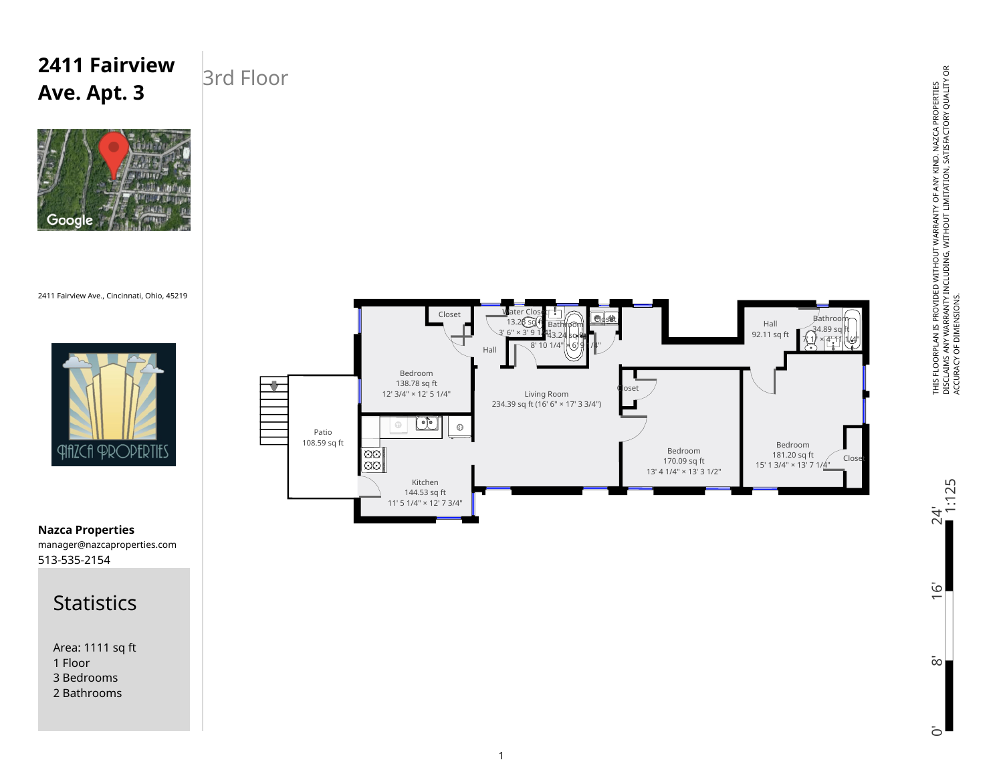# **2411 Fairview Ave. Apt. 3**

### 3rd Floor



2411 Fairview Ave., Cincinnati, Ohio, 45219





513-535-2154 manager@nazcaproperties.com **Nazca Properties**

#### **Statistics**

Area: 1111 sq ft 1 Floor 3 Bedrooms 2 Bathrooms

THIS FLOORPLAN IS PROVIDED WITHOUT WARRANTY OF ANY KIND. NAZCA PROPERTIES<br>DISCLAIMS ANY WARRANTY INCLUDING, WITHOUT LIMITATION, SATISFACTORY QUALITY OR<br>ACCURACY OF DIMENSIONS. DISCLAIMS ANY WARRANTY INCLUDING, WITHOUT LIMITATION, SATISFACTORY QUALITY OR THIS FLOORPLAN IS PROVIDED WITHOUT WARRANTY OF ANY KIND. NAZCA PROPERTIES ACCURACY OF DIMENSIONS.

24'<br>1:125 0' 8' 16' 24'  $\overline{6}$  $\bar{\infty}$ 

 $\bar{c}$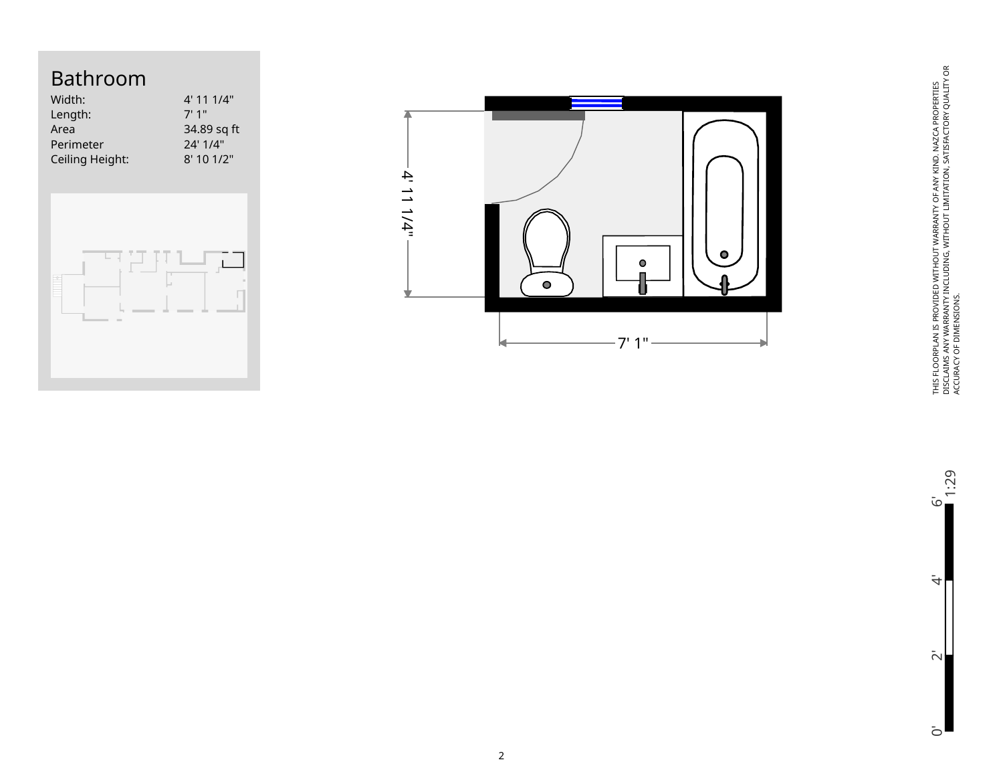### Bathroom

| Width:          | 4' 11 1/4"  |
|-----------------|-------------|
| Length:         | 7'1''       |
| Area            | 34.89 sq ft |
| Perimeter       | 24' 1/4"    |
| Ceiling Height: | 8'101/2"    |
|                 |             |





THIS FLOORPLAN IS PROVIDED WITHOUT WARRANTY OF ANY KIND. NAZCA PROPERTIES<br>DISCLAINS ANY WARRANTY INCLUDING, WITHOUT LIMITATION, SATISFACTORY QUALITY OR<br>ACCURACY OF DIMENSIONS. DISCLAIMS ANY WARRANTY INCLUDING, WITHOUT LIMITATION, SATISFACTORY QUALITY OR THIS FLOORPLAN IS PROVIDED WITHOUT WARRANTY OF ANY KIND. NAZCA PROPERTIES ACCURACY OF DIMENSIONS.

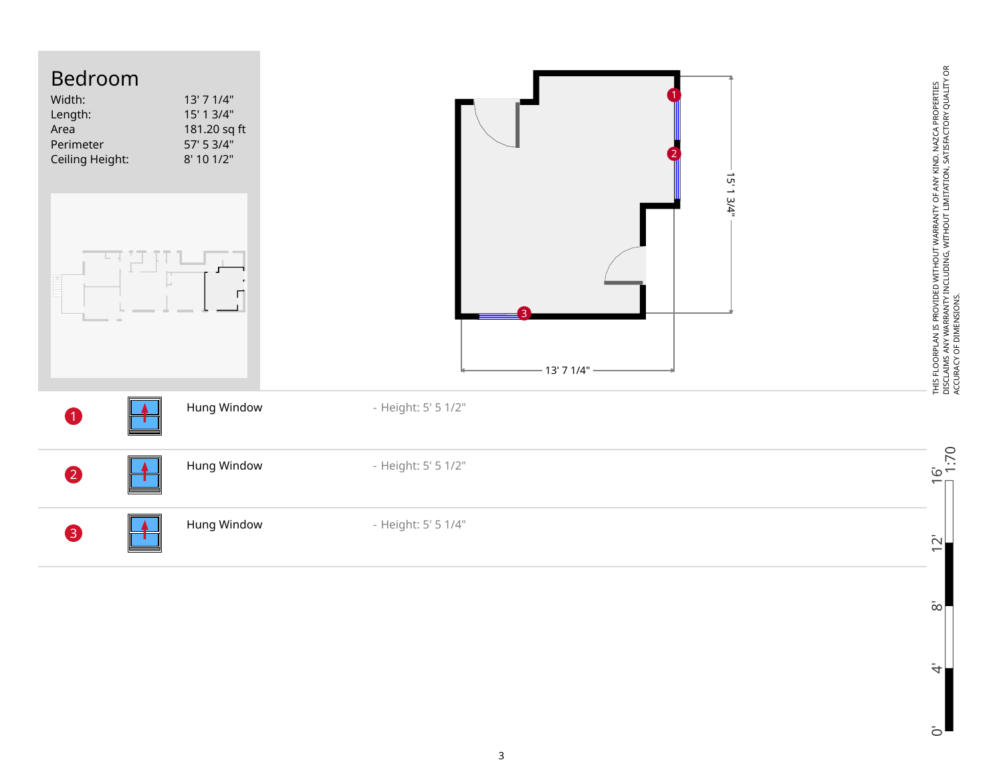| Bedroom<br>Width:<br>Length:<br>Area<br>Perimeter<br>Ceiling Height: | 13' 7 1/4"<br>15' 1 3/4"<br>181.20 sq ft<br>57' 5 3/4"<br>8' 10 1/2" | 15' 1 3/4"          |                                                                                                                                                                                       |
|----------------------------------------------------------------------|----------------------------------------------------------------------|---------------------|---------------------------------------------------------------------------------------------------------------------------------------------------------------------------------------|
|                                                                      |                                                                      | 13' 7 1/4"          | THIS FLOORPLAN IS PROVIDED WITHOUT WARRANTY OF ANY KIND. NAZCA PROPERTIES<br>DISCLAIMS ANY WARRANTY INCLUDING, WITHOUT LIMITATION, SATISFACTORY QUALITY OR<br>ACCURACY OF DIMENSIONS. |
|                                                                      | Hung Window                                                          | - Height: 5' 5 1/2" |                                                                                                                                                                                       |
| $\mathbf 2$                                                          | Hung Window                                                          | - Height: 5' 5 1/2" | $6'$<br>1:70                                                                                                                                                                          |
| $\left  \right $                                                     | Hung Window                                                          | - Height: 5' 5 1/4" | $\bar{\sim}$<br>$\overline{\phantom{0}}$                                                                                                                                              |

0' 4' 8' 12' 16'  $\bar{\infty}$  $\ddot{a}$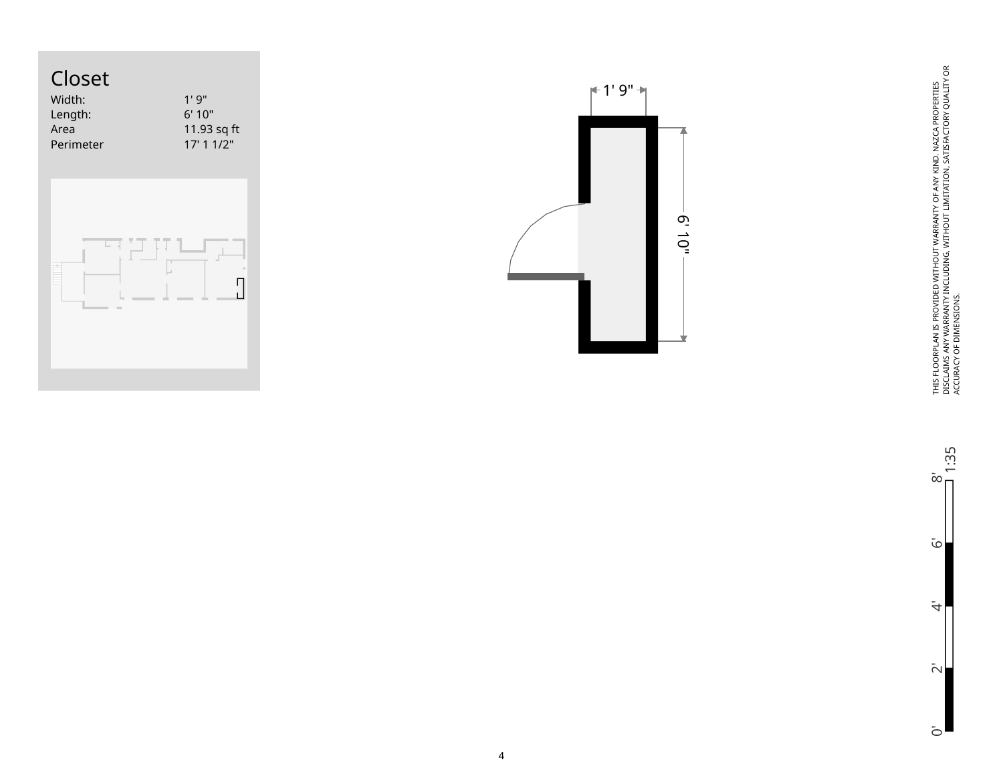





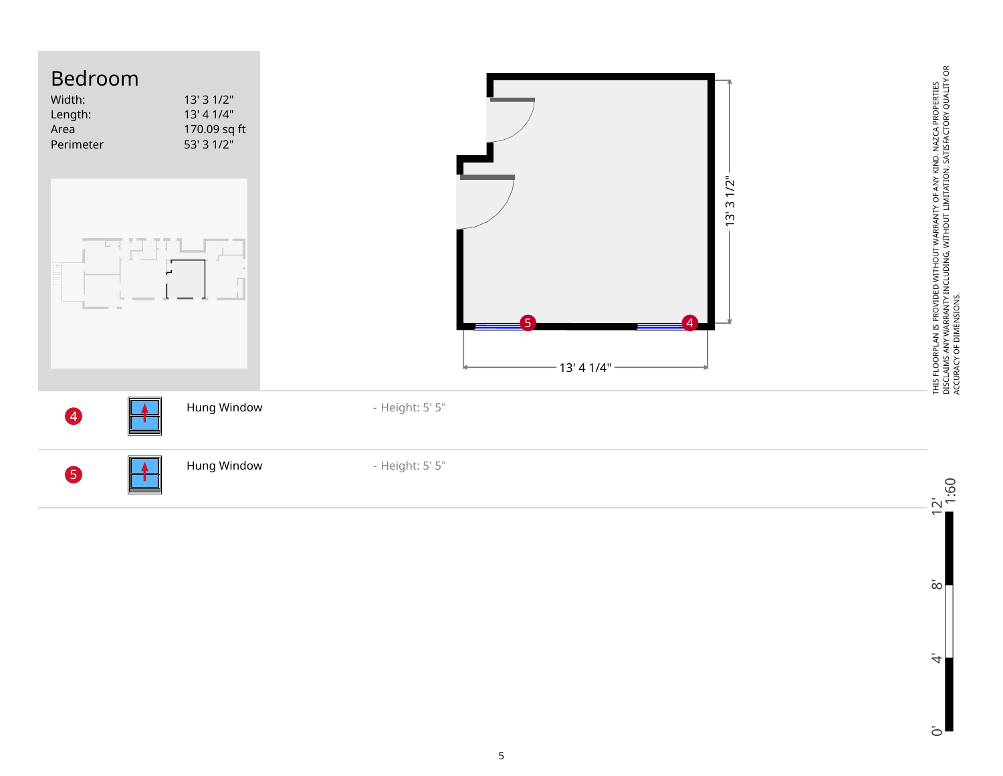

 $\bar{\infty}$ 

 $\ddot{4}$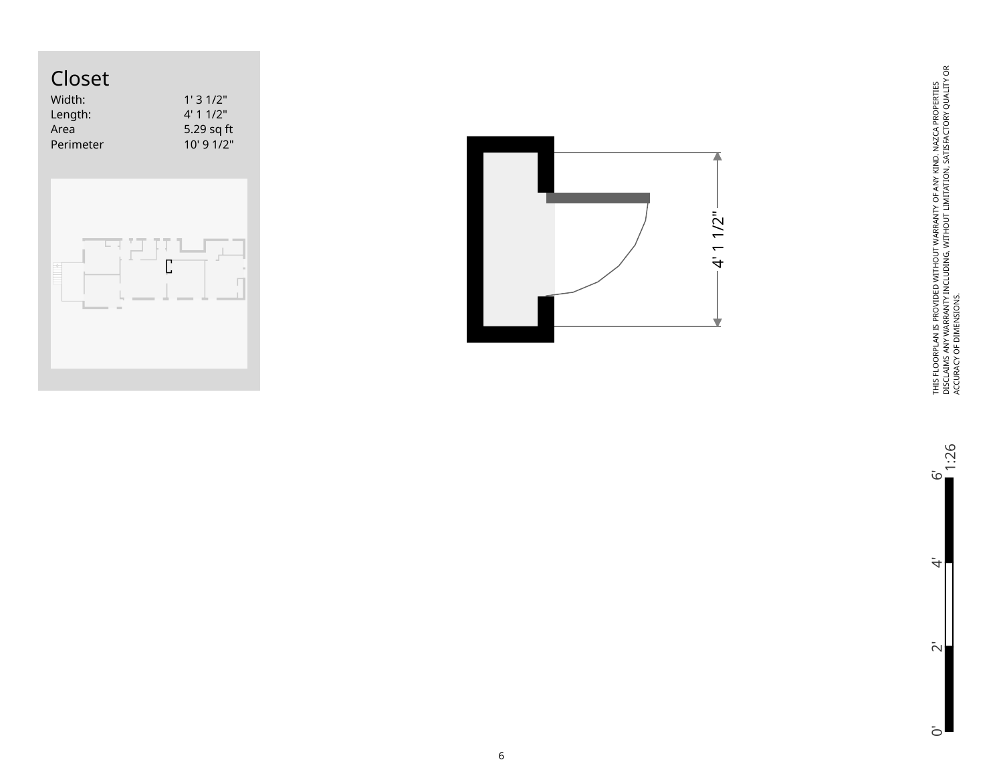## Closet

| Width:    | 1'31/2"        |
|-----------|----------------|
| Length:   | 4'11/2"        |
| Area      | 5.29 sq ft     |
| Perimeter | $10'$ 9 $1/2"$ |
|           |                |





THIS FLOORPLAN IS PROVIDED WITHOUT WARRANTY OF ANY KIND. NAZCA PROPERTIES<br>DISCLAINS ANY WARRANTY INCLUDING, WITHOUT LIMITATION, SATISFACTORY QUALITY OR<br>ACCURACY OF DIMENSIONS. DISCLAIMS ANY WARRANTY INCLUDING, WITHOUT LIMITATION, SATISFACTORY QUALITY OR THIS FLOORPLAN IS PROVIDED WITHOUT WARRANTY OF ANY KIND. NAZCA PROPERTIES ACCURACY OF DIMENSIONS.

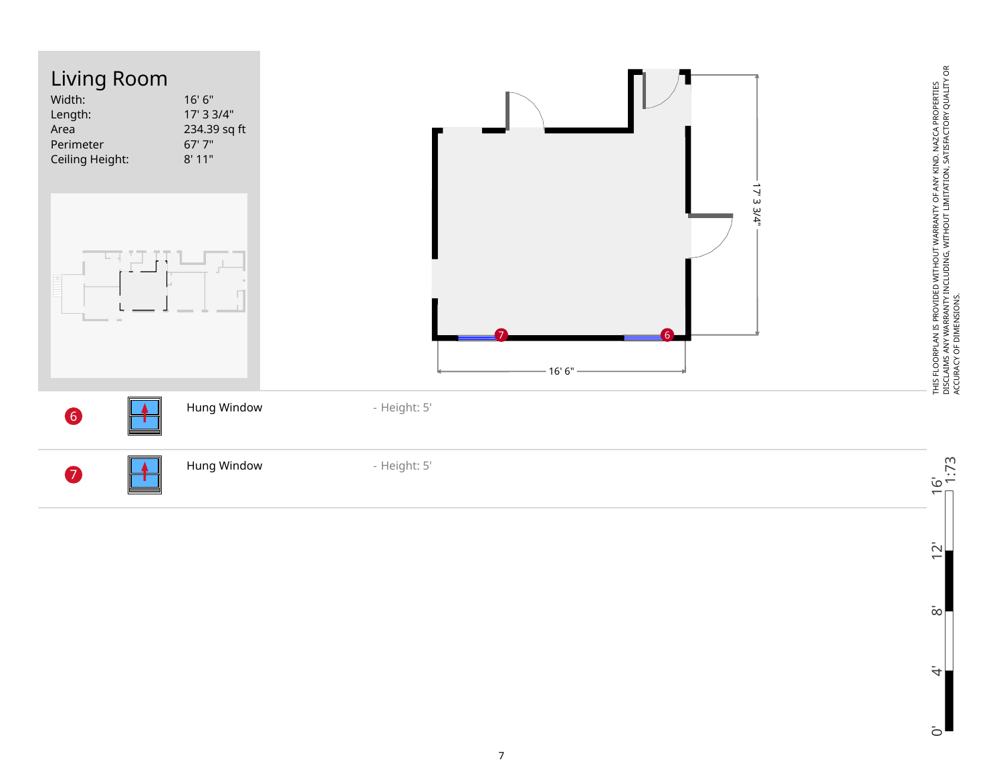

0' 4' 8' 12' 16'  $\overline{2}$  $\bar{\infty}$  $\ddot{\tau}$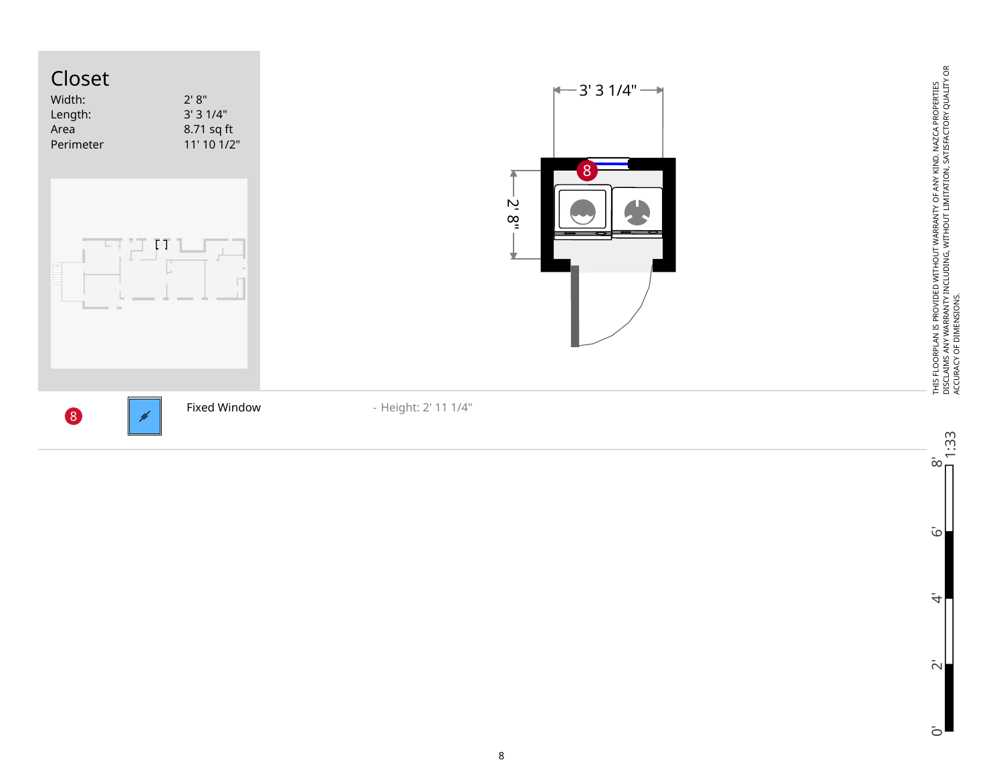

 $\tilde{\omega}$ 

 $\ddot{\tau}$ 

 $\bar{\sim}$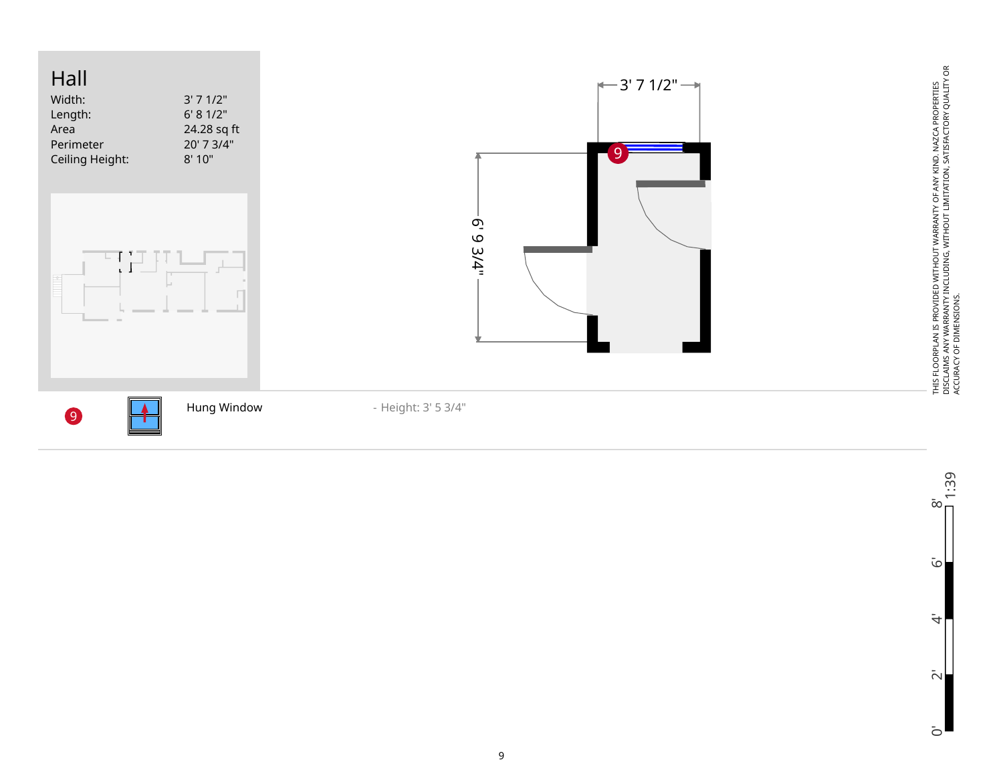



اح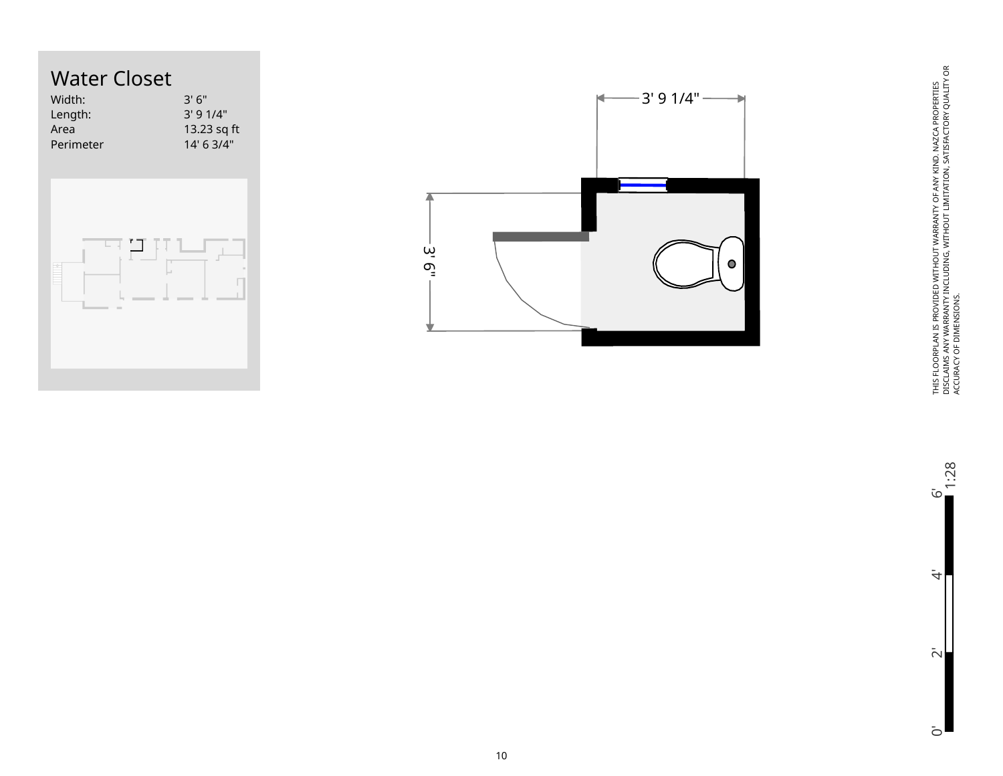



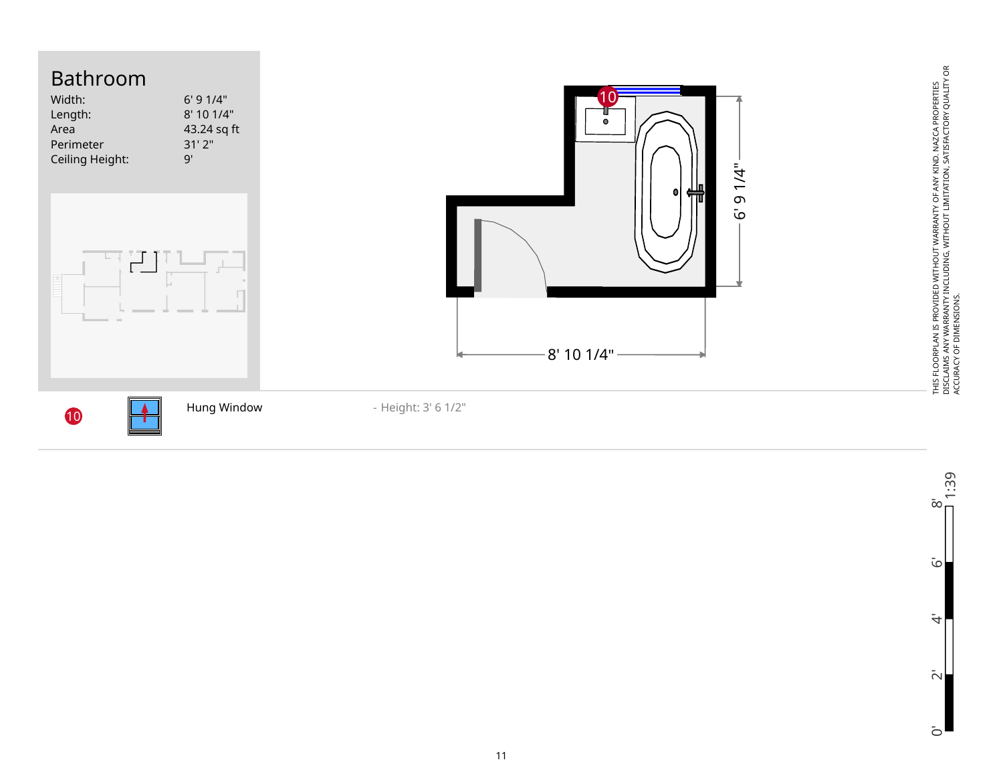

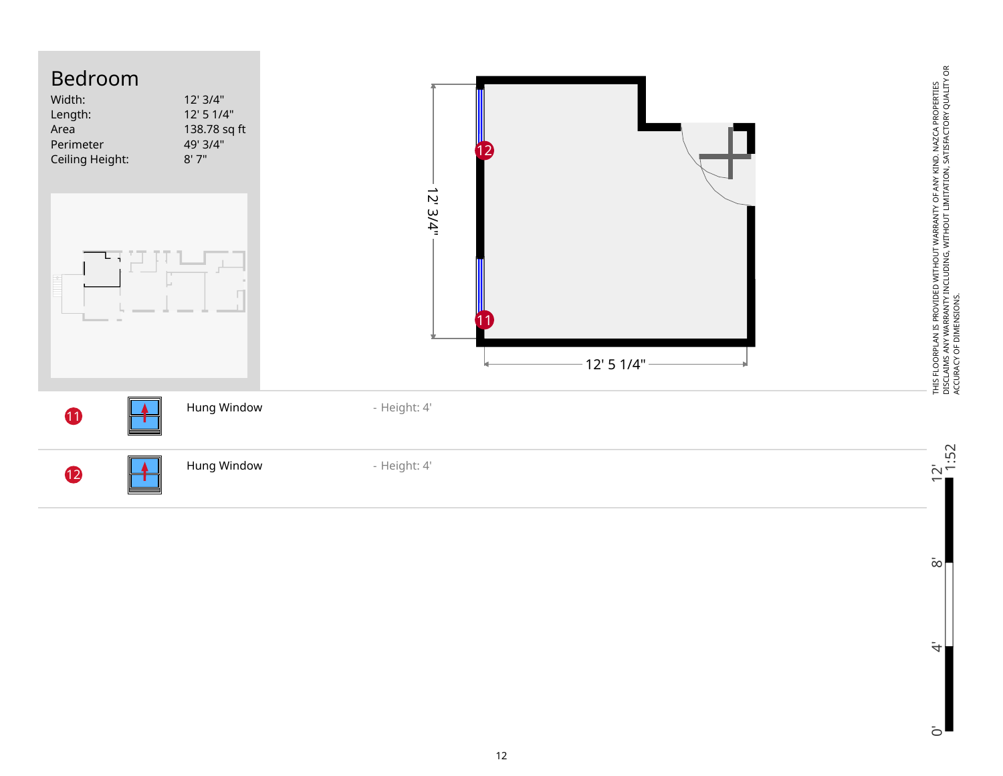

 $\bar{\infty}$ 

 $\ddot{4}$ 

 $\bar{c}$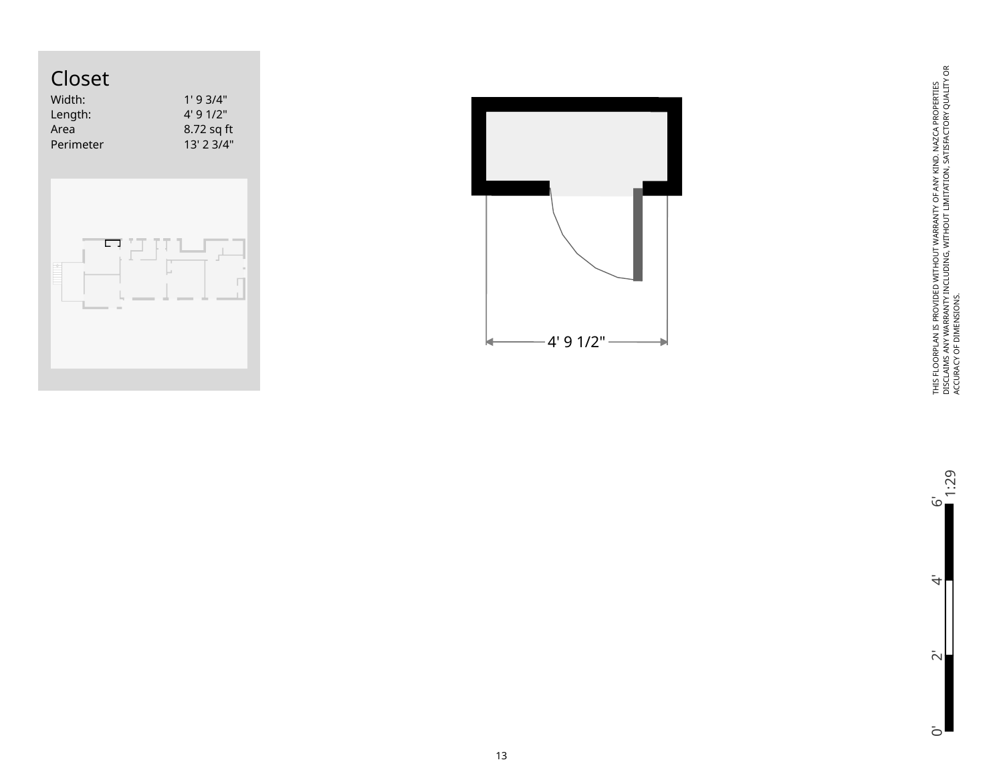

| Width:<br>Length: | 1'93/4"<br>4'91/2" |
|-------------------|--------------------|
| Area              | 8.72 sq ft         |
| Perimeter         | 13' 2 3/4"         |
|                   |                    |





THIS FLOORPLAN IS PROVIDED WITHOUT WARRANTY OF ANY KIND. NAZCA PROPERTIES<br>DISCLAIMS ANY WARRANTY INCLUDING, WITHOUT LIMITATION, SATISFACTORY QUALITY OR<br>ACCURACY OF DIMENSIONS. DISCLAIMS ANY WARRANTY INCLUDING, WITHOUT LIMITATION, SATISFACTORY QUALITY OR THIS FLOORPLAN IS PROVIDED WITHOUT WARRANTY OF ANY KIND. NAZCA PROPERTIES ACCURACY OF DIMENSIONS.

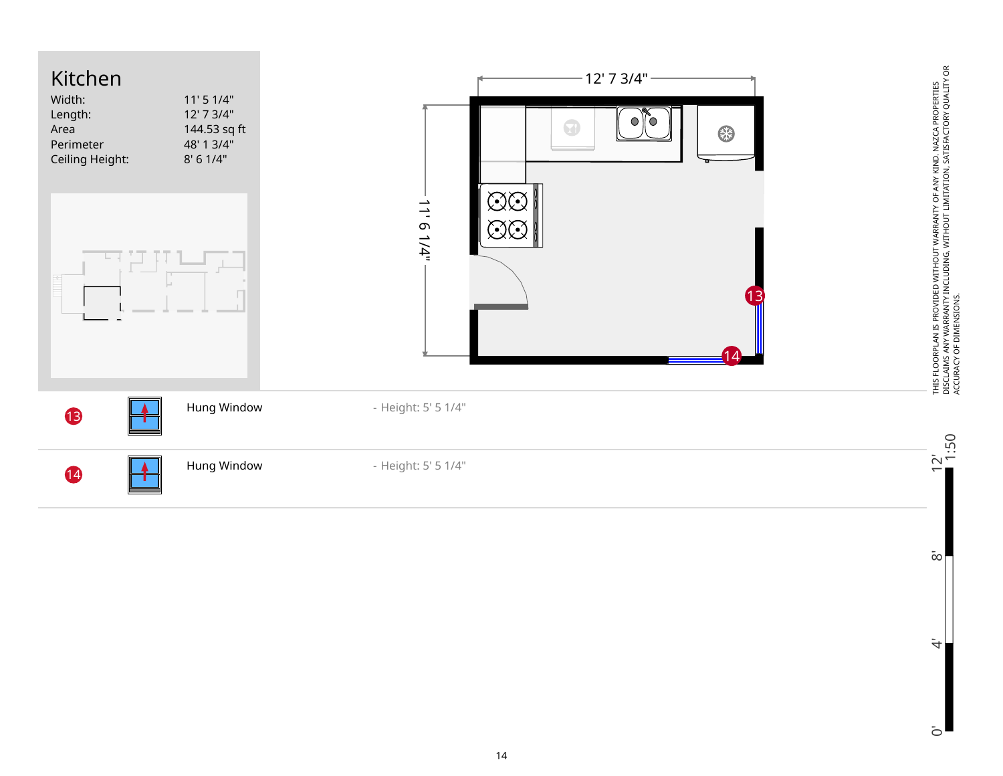

 $\bar{\infty}$ 

 $\dot{\overline{z}}$ 

 $\bar{c}$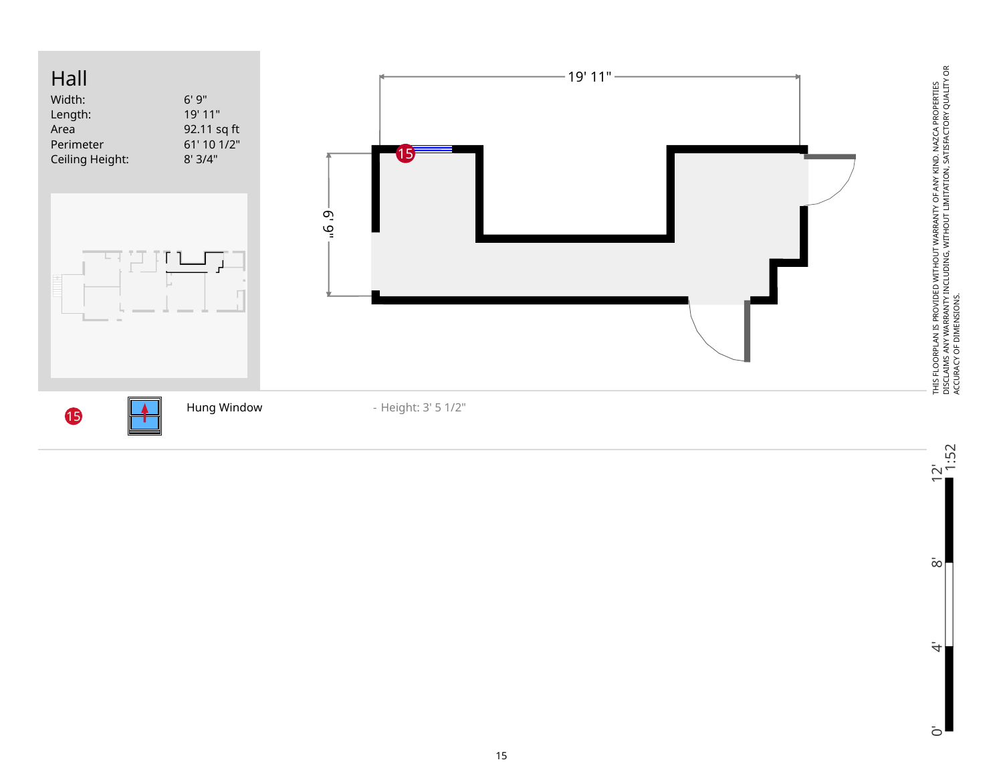



 $0'$  8'  $12'$